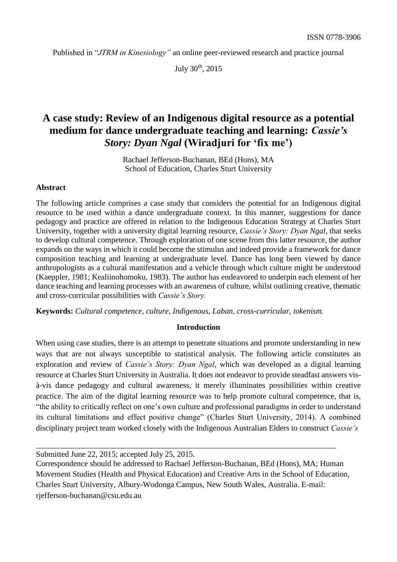Published in "*JTRM in Kinesiology"* an online peer-reviewed research and practice journal

July 30<sup>th</sup>, 2015

# **A case study: Review of an Indigenous digital resource as a potential medium for dance undergraduate teaching and learning:** *Cassie's Story: Dyan Ngal* **(Wiradjuri for 'fix me')**

Rachael Jefferson-Buchanan, BEd (Hons), MA School of Education, Charles Sturt University

#### **Abstract**

The following article comprises a case study that considers the potential for an Indigenous digital resource to be used within a dance undergraduate context. In this manner, suggestions for dance pedagogy and practice are offered in relation to the Indigenous Education Strategy at Charles Sturt University, together with a university digital learning resource, *Cassie's Story: Dyan Ngal*, that seeks to develop cultural competence. Through exploration of one scene from this latter resource, the author expands on the ways in which it could become the stimulus and indeed provide a framework for dance composition teaching and learning at undergraduate level. Dance has long been viewed by dance anthropologists as a cultural manifestation and a vehicle through which culture might be understood (Kaeppler, 1981; Kealiinohomoku, 1983). The author has endeavored to underpin each element of her dance teaching and learning processes with an awareness of culture, whilst outlining creative, thematic and cross-curricular possibilities with *Cassie's Story.*

**Keywords:** *Cultural competence, culture, Indigenous, Laban, cross-curricular, tokenism.*

#### **Introduction**

When using case studies, there is an attempt to penetrate situations and promote understanding in new ways that are not always susceptible to statistical analysis. The following article constitutes an exploration and review of *Cassie's Story: Dyan Ngal*, which was developed as a digital learning resource at Charles Sturt University in Australia. It does not endeavor to provide steadfast answers visà-vis dance pedagogy and cultural awareness, it merely illuminates possibilities within creative practice. The aim of the digital learning resource was to help promote cultural competence, that is, "the ability to critically reflect on one's own culture and professional paradigms in order to understand its cultural limitations and effect positive change" (Charles Sturt University, 2014). A combined disciplinary project team worked closely with the Indigenous Australian Elders to construct *Cassie's*

\_\_\_\_\_\_\_\_\_\_\_\_\_\_\_\_\_\_\_\_\_\_\_\_\_\_\_\_\_\_\_\_\_\_\_\_\_\_\_\_\_\_\_\_\_\_\_\_\_\_\_\_\_\_\_\_\_\_\_\_\_\_\_\_\_\_\_\_\_\_\_\_\_\_\_

Submitted June 22, 2015; accepted July 25, 2015.

Correspondence should be addressed to Rachael Jefferson-Buchanan, BEd (Hons), MA; Human Movement Studies (Health and Physical Education) and Creative Arts in the School of Education, Charles Sturt University, Albury-Wodonga Campus, New South Wales, Australia. E-mail: [rjefferson-buchanan@csu.edu.au](mailto:rjefferson-buchanan@csu.edu.au)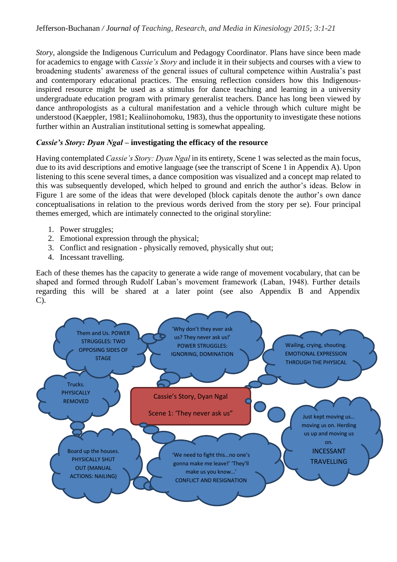*Story*, alongside the Indigenous Curriculum and Pedagogy Coordinator. Plans have since been made for academics to engage with *Cassie's Story* and include it in their subjects and courses with a view to broadening students' awareness of the general issues of cultural competence within Australia's past and contemporary educational practices. The ensuing reflection considers how this Indigenousinspired resource might be used as a stimulus for dance teaching and learning in a university undergraduate education program with primary generalist teachers. Dance has long been viewed by dance anthropologists as a cultural manifestation and a vehicle through which culture might be understood (Kaeppler, 1981; Kealiinohomoku, 1983), thus the opportunity to investigate these notions further within an Australian institutional setting is somewhat appealing.

## *Cassie's Story: Dyan Ngal* **– investigating the efficacy of the resource**

Having contemplated *Cassie's Story: Dyan Ngal* in its entirety, Scene 1 was selected as the main focus, due to its avid descriptions and emotive language (see the transcript of Scene 1 in Appendix A). Upon listening to this scene several times, a dance composition was visualized and a concept map related to this was subsequently developed, which helped to ground and enrich the author's ideas. Below in Figure 1 are some of the ideas that were developed (block capitals denote the author's own dance conceptualisations in relation to the previous words derived from the story per se). Four principal themes emerged, which are intimately connected to the original storyline:

- 1. Power struggles;
- 2. Emotional expression through the physical;
- 3. Conflict and resignation physically removed, physically shut out;
- 4. Incessant travelling.

Each of these themes has the capacity to generate a wide range of movement vocabulary, that can be shaped and formed through Rudolf Laban's movement framework (Laban, 1948). Further details regarding this will be shared at a later point (see also Appendix B and Appendix C).

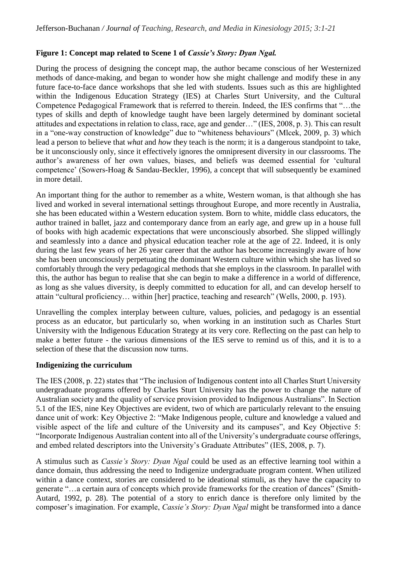## **Figure 1: Concept map related to Scene 1 of** *Cassie's Story: Dyan Ngal.*

During the process of designing the concept map, the author became conscious of her Westernized methods of dance-making, and began to wonder how she might challenge and modify these in any future face-to-face dance workshops that she led with students. Issues such as this are highlighted within the Indigenous Education Strategy (IES) at Charles Sturt University, and the Cultural Competence Pedagogical Framework that is referred to therein. Indeed, the IES confirms that "…the types of skills and depth of knowledge taught have been largely determined by dominant societal attitudes and expectations in relation to class, race, age and gender…" (IES, 2008, p. 3). This can result in a "one-way construction of knowledge" due to "whiteness behaviours" (Mlcek, 2009, p. 3) which lead a person to believe that *what* and *how* they teach is the norm; it is a dangerous standpoint to take, be it unconsciously only, since it effectively ignores the omnipresent diversity in our classrooms. The author's awareness of her own values, biases, and beliefs was deemed essential for 'cultural competence' (Sowers-Hoag & Sandau-Beckler, 1996), a concept that will subsequently be examined in more detail.

An important thing for the author to remember as a white, Western woman, is that although she has lived and worked in several international settings throughout Europe, and more recently in Australia, she has been educated within a Western education system. Born to white, middle class educators, the author trained in ballet, jazz and contemporary dance from an early age, and grew up in a house full of books with high academic expectations that were unconsciously absorbed. She slipped willingly and seamlessly into a dance and physical education teacher role at the age of 22. Indeed, it is only during the last few years of her 26 year career that the author has become increasingly aware of how she has been unconsciously perpetuating the dominant Western culture within which she has lived so comfortably through the very pedagogical methods that she employs in the classroom. In parallel with this, the author has begun to realise that she can begin to make a difference in a world of difference, as long as she values diversity, is deeply committed to education for all, and can develop herself to attain "cultural proficiency… within [her] practice, teaching and research" (Wells, 2000, p. 193).

Unravelling the complex interplay between culture, values, policies, and pedagogy is an essential process as an educator, but particularly so, when working in an institution such as Charles Sturt University with the Indigenous Education Strategy at its very core. Reflecting on the past can help to make a better future - the various dimensions of the IES serve to remind us of this, and it is to a selection of these that the discussion now turns.

#### **Indigenizing the curriculum**

The IES (2008, p. 22) states that "The inclusion of Indigenous content into all Charles Sturt University undergraduate programs offered by Charles Sturt University has the power to change the nature of Australian society and the quality of service provision provided to Indigenous Australians". In Section 5.1 of the IES, nine Key Objectives are evident, two of which are particularly relevant to the ensuing dance unit of work: Key Objective 2: "Make Indigenous people, culture and knowledge a valued and visible aspect of the life and culture of the University and its campuses", and Key Objective 5: "Incorporate Indigenous Australian content into all of the University's undergraduate course offerings, and embed related descriptors into the University's Graduate Attributes" (IES, 2008, p. 7).

A stimulus such as *Cassie's Story: Dyan Ngal* could be used as an effective learning tool within a dance domain, thus addressing the need to Indigenize undergraduate program content. When utilized within a dance context, stories are considered to be ideational stimuli, as they have the capacity to generate "…a certain aura of concepts which provide frameworks for the creation of dances" (Smith-Autard, 1992, p. 28). The potential of a story to enrich dance is therefore only limited by the composer's imagination. For example, *Cassie's Story: Dyan Ngal* might be transformed into a dance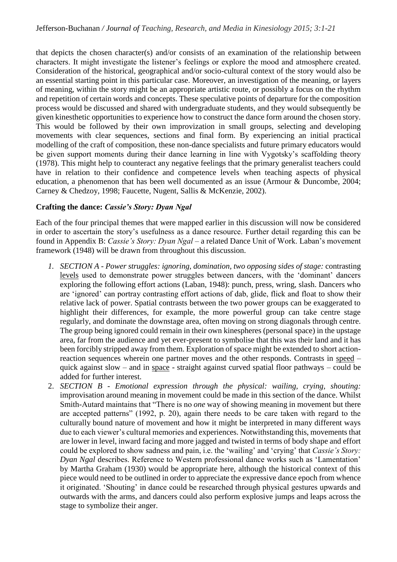that depicts the chosen character(s) and/or consists of an examination of the relationship between characters. It might investigate the listener's feelings or explore the mood and atmosphere created. Consideration of the historical, geographical and/or socio-cultural context of the story would also be an essential starting point in this particular case. Moreover, an investigation of the meaning, or layers of meaning, within the story might be an appropriate artistic route, or possibly a focus on the rhythm and repetition of certain words and concepts. These speculative points of departure for the composition process would be discussed and shared with undergraduate students, and they would subsequently be given kinesthetic opportunities to experience how to construct the dance form around the chosen story. This would be followed by their own improvization in small groups, selecting and developing movements with clear sequences, sections and final form. By experiencing an initial practical modelling of the craft of composition, these non-dance specialists and future primary educators would be given support moments during their dance learning in line with Vygotsky's scaffolding theory (1978). This might help to counteract any negative feelings that the primary generalist teachers could have in relation to their confidence and competence levels when teaching aspects of physical education, a phenomenon that has been well documented as an issue (Armour & Duncombe, 2004; Carney & Chedzoy, 1998; Faucette, Nugent, Sallis & McKenzie, 2002).

## **Crafting the dance:** *Cassie's Story: Dyan Ngal*

Each of the four principal themes that were mapped earlier in this discussion will now be considered in order to ascertain the story's usefulness as a dance resource. Further detail regarding this can be found in Appendix B: *Cassie's Story: Dyan Ngal* – a related Dance Unit of Work. Laban's movement framework (1948) will be drawn from throughout this discussion.

- *1. SECTION A - Power struggles: ignoring, domination, two opposing sides of stage:* contrasting levels used to demonstrate power struggles between dancers, with the 'dominant' dancers exploring the following effort actions (Laban, 1948): punch, press, wring, slash. Dancers who are 'ignored' can portray contrasting effort actions of dab, glide, flick and float to show their relative lack of power. Spatial contrasts between the two power groups can be exaggerated to highlight their differences, for example, the more powerful group can take centre stage regularly, and dominate the downstage area, often moving on strong diagonals through centre. The group being ignored could remain in their own kinespheres (personal space) in the upstage area, far from the audience and yet ever-present to symbolise that this was their land and it has been forcibly stripped away from them. Exploration of space might be extended to short actionreaction sequences wherein one partner moves and the other responds. Contrasts in speed – quick against slow – and in space - straight against curved spatial floor pathways – could be added for further interest.
- 2. *SECTION B - Emotional expression through the physical: wailing, crying, shouting:*  improvisation around meaning in movement could be made in this section of the dance. Whilst Smith-Autard maintains that "There is no *one* way of showing meaning in movement but there are accepted patterns" (1992, p. 20), again there needs to be care taken with regard to the culturally bound nature of movement and how it might be interpreted in many different ways due to each viewer's cultural memories and experiences. Notwithstanding this, movements that are lower in level, inward facing and more jagged and twisted in terms of body shape and effort could be explored to show sadness and pain, i.e. the 'wailing' and 'crying' that *Cassie's Story: Dyan Ngal* describes. Reference to Western professional dance works such as 'Lamentation' by Martha Graham (1930) would be appropriate here, although the historical context of this piece would need to be outlined in order to appreciate the expressive dance epoch from whence it originated. 'Shouting' in dance could be researched through physical gestures upwards and outwards with the arms, and dancers could also perform explosive jumps and leaps across the stage to symbolize their anger.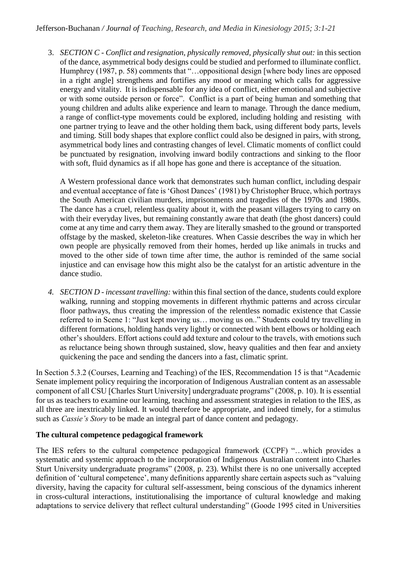3. *SECTION C - Conflict and resignation, physically removed, physically shut out:* in this section of the dance, asymmetrical body designs could be studied and performed to illuminate conflict. Humphrey (1987, p. 58) comments that "...oppositional design [where body lines are opposed in a right angle] strengthens and fortifies any mood or meaning which calls for aggressive energy and vitality. It is indispensable for any idea of conflict, either emotional and subjective or with some outside person or force". Conflict is a part of being human and something that young children and adults alike experience and learn to manage. Through the dance medium, a range of conflict-type movements could be explored, including holding and resisting with one partner trying to leave and the other holding them back, using different body parts, levels and timing. Still body shapes that explore conflict could also be designed in pairs, with strong, asymmetrical body lines and contrasting changes of level. Climatic moments of conflict could be punctuated by resignation, involving inward bodily contractions and sinking to the floor with soft, fluid dynamics as if all hope has gone and there is acceptance of the situation.

A Western professional dance work that demonstrates such human conflict, including despair and eventual acceptance of fate is 'Ghost Dances' (1981) by Christopher Bruce, which portrays the South American civilian murders, imprisonments and tragedies of the 1970s and 1980s. The dance has a cruel, relentless quality about it, with the peasant villagers trying to carry on with their everyday lives, but remaining constantly aware that death (the ghost dancers) could come at any time and carry them away. They are literally smashed to the ground or transported offstage by the masked, skeleton-like creatures. When Cassie describes the way in which her own people are physically removed from their homes, herded up like animals in trucks and moved to the other side of town time after time, the author is reminded of the same social injustice and can envisage how this might also be the catalyst for an artistic adventure in the dance studio.

*4. SECTION D - incessant travelling:* within this final section of the dance, students could explore walking, running and stopping movements in different rhythmic patterns and across circular floor pathways, thus creating the impression of the relentless nomadic existence that Cassie referred to in Scene 1: "Just kept moving us… moving us on.." Students could try travelling in different formations, holding hands very lightly or connected with bent elbows or holding each other's shoulders. Effort actions could add texture and colour to the travels, with emotions such as reluctance being shown through sustained, slow, heavy qualities and then fear and anxiety quickening the pace and sending the dancers into a fast, climatic sprint.

In Section 5.3.2 (Courses, Learning and Teaching) of the IES, Recommendation 15 is that "Academic Senate implement policy requiring the incorporation of Indigenous Australian content as an assessable component of all CSU [Charles Sturt University] undergraduate programs" (2008, p. 10). It is essential for us as teachers to examine our learning, teaching and assessment strategies in relation to the IES, as all three are inextricably linked. It would therefore be appropriate, and indeed timely, for a stimulus such as *Cassie's Story* to be made an integral part of dance content and pedagogy.

## **The cultural competence pedagogical framework**

The IES refers to the cultural competence pedagogical framework (CCPF) "…which provides a systematic and systemic approach to the incorporation of Indigenous Australian content into Charles Sturt University undergraduate programs" (2008, p. 23). Whilst there is no one universally accepted definition of 'cultural competence', many definitions apparently share certain aspects such as "valuing diversity, having the capacity for cultural self-assessment, being conscious of the dynamics inherent in cross-cultural interactions, institutionalising the importance of cultural knowledge and making adaptations to service delivery that reflect cultural understanding" (Goode 1995 cited in Universities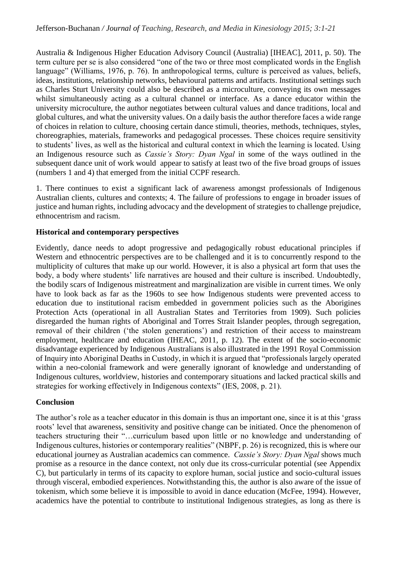Australia & Indigenous Higher Education Advisory Council (Australia) [IHEAC], 2011, p. 50). The term culture per se is also considered "one of the two or three most complicated words in the English language" (Williams, 1976, p. 76). In anthropological terms, culture is perceived as values, beliefs, ideas, institutions, relationship networks, behavioural patterns and artifacts. Institutional settings such as Charles Sturt University could also be described as a microculture, conveying its own messages whilst simultaneously acting as a cultural channel or interface. As a dance educator within the university microculture, the author negotiates between cultural values and dance traditions, local and global cultures, and what the university values. On a daily basis the author therefore faces a wide range of choices in relation to culture, choosing certain dance stimuli, theories, methods, techniques, styles, choreographies, materials, frameworks and pedagogical processes. These choices require sensitivity to students' lives, as well as the historical and cultural context in which the learning is located. Using an Indigenous resource such as *Cassie's Story: Dyan Ngal* in some of the ways outlined in the subsequent dance unit of work would appear to satisfy at least two of the five broad groups of issues (numbers 1 and 4) that emerged from the initial CCPF research.

1. There continues to exist a significant lack of awareness amongst professionals of Indigenous Australian clients, cultures and contexts; 4. The failure of professions to engage in broader issues of justice and human rights, including advocacy and the development of strategies to challenge prejudice, ethnocentrism and racism.

## **Historical and contemporary perspectives**

Evidently, dance needs to adopt progressive and pedagogically robust educational principles if Western and ethnocentric perspectives are to be challenged and it is to concurrently respond to the multiplicity of cultures that make up our world. However, it is also a physical art form that uses the body, a body where students' life narratives are housed and their culture is inscribed. Undoubtedly, the bodily scars of Indigenous mistreatment and marginalization are visible in current times. We only have to look back as far as the 1960s to see how Indigenous students were prevented access to education due to institutional racism embedded in government policies such as the Aborigines Protection Acts (operational in all Australian States and Territories from 1909). Such policies disregarded the human rights of Aboriginal and Torres Strait Islander peoples, through segregation, removal of their children ('the stolen generations') and restriction of their access to mainstream employment, healthcare and education (IHEAC, 2011, p. 12). The extent of the socio-economic disadvantage experienced by Indigenous Australians is also illustrated in the 1991 Royal Commission of Inquiry into Aboriginal Deaths in Custody, in which it is argued that "professionals largely operated within a neo-colonial framework and were generally ignorant of knowledge and understanding of Indigenous cultures, worldview, histories and contemporary situations and lacked practical skills and strategies for working effectively in Indigenous contexts" (IES, 2008, p. 21).

#### **Conclusion**

The author's role as a teacher educator in this domain is thus an important one, since it is at this 'grass roots' level that awareness, sensitivity and positive change can be initiated. Once the phenomenon of teachers structuring their "…curriculum based upon little or no knowledge and understanding of Indigenous cultures, histories or contemporary realities" (NBPF, p. 26) is recognized, this is where our educational journey as Australian academics can commence. *Cassie's Story: Dyan Ngal* shows much promise as a resource in the dance context, not only due its cross-curricular potential (see Appendix C), but particularly in terms of its capacity to explore human, social justice and socio-cultural issues through visceral, embodied experiences. Notwithstanding this, the author is also aware of the issue of tokenism, which some believe it is impossible to avoid in dance education (McFee, 1994). However, academics have the potential to contribute to institutional Indigenous strategies, as long as there is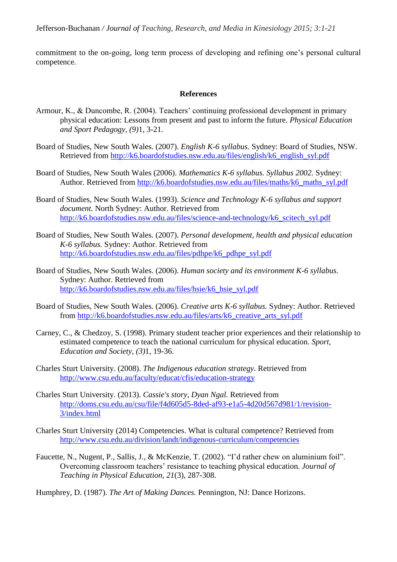commitment to the on-going, long term process of developing and refining one's personal cultural competence.

#### **References**

- Armour, K., & Duncombe, R. (2004). Teachers' continuing professional development in primary physical education: Lessons from present and past to inform the future. *Physical Education and Sport Pedagogy, (9)*1, 3-21.
- Board of Studies, New South Wales. (2007). *English K-6 syllabus.* Sydney: Board of Studies, NSW. Retrieved from [http://k6.boardofstudies.nsw.edu.au/files/english/k6\\_english\\_syl.pdf](http://k6.boardofstudies.nsw.edu.au/files/english/k6_english_syl.pdf)
- Board of Studies, New South Wales (2006). *Mathematics K-6 syllabus. Syllabus 2002.* Sydney: Author. Retrieved from [http://k6.boardofstudies.nsw.edu.au/files/maths/k6\\_maths\\_syl.pdf](http://k6.boardofstudies.nsw.edu.au/files/maths/k6_maths_syl.pdf)
- Board of Studies, New South Wales. (1993). *Science and Technology K-6 syllabus and support document.* North Sydney: Author. Retrieved from [http://k6.boardofstudies.nsw.edu.au/files/science-and-technology/k6\\_scitech\\_syl.pdf](http://k6.boardofstudies.nsw.edu.au/files/science-and-technology/k6_scitech_syl.pdf)
- Board of Studies, New South Wales. (2007). *Personal development, health and physical education K-6 syllabus.* Sydney: Author. Retrieved from [http://k6.boardofstudies.nsw.edu.au/files/pdhpe/k6\\_pdhpe\\_syl.pdf](http://k6.boardofstudies.nsw.edu.au/files/pdhpe/k6_pdhpe_syl.pdf)
- Board of Studies, New South Wales. (2006). *Human society and its environment K-6 syllabus.* Sydney: Author. Retrieved from [http://k6.boardofstudies.nsw.edu.au/files/hsie/k6\\_hsie\\_syl.pdf](http://k6.boardofstudies.nsw.edu.au/files/hsie/k6_hsie_syl.pdf)
- Board of Studies, New South Wales. (2006). *Creative arts K-6 syllabus.* Sydney: Author. Retrieved from [http://k6.boardofstudies.nsw.edu.au/files/arts/k6\\_creative\\_arts\\_syl.pdf](http://k6.boardofstudies.nsw.edu.au/files/arts/k6_creative_arts_syl.pdf)
- Carney, C., & Chedzoy, S. (1998). Primary student teacher prior experiences and their relationship to estimated competence to teach the national curriculum for physical education. *Sport, Education and Society, (3)*1, 19-36.
- Charles Sturt University. (2008). *The Indigenous education strategy.* Retrieved from <http://www.csu.edu.au/faculty/educat/cfis/education-strategy>
- Charles Sturt University. (2013). *Cassie's story, Dyan Ngal.* Retrieved from [http://doms.csu.edu.au/csu/file/f4d605d5-8ded-af93-e1a5-4d20d567d981/1/revision-](http://doms.csu.edu.au/csu/file/f4d605d5-8ded-af93-e1a5-4d20d567d981/1/revision-3/index.html)[3/index.html](http://doms.csu.edu.au/csu/file/f4d605d5-8ded-af93-e1a5-4d20d567d981/1/revision-3/index.html)
- Charles Sturt University (2014) Competencies. What is cultural competence? Retrieved from <http://www.csu.edu.au/division/landt/indigenous-curriculum/competencies>
- Faucette, N., Nugent, P., Sallis, J., & McKenzie, T. (2002). "I'd rather chew on aluminium foil". Overcoming classroom teachers' resistance to teaching physical education. *Journal of Teaching in Physical Education, 21*(3), 287-308.

Humphrey, D. (1987). *The Art of Making Dances.* Pennington, NJ: Dance Horizons.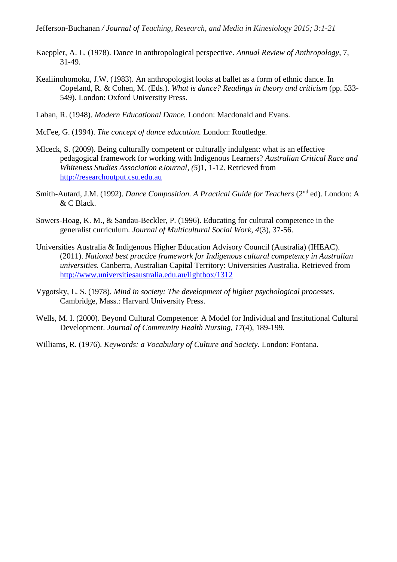- Kaeppler, A. L. (1978). Dance in anthropological perspective. *Annual Review of Anthropology*, 7, 31-49.
- Kealiinohomoku, J.W. (1983). An anthropologist looks at ballet as a form of ethnic dance. In Copeland, R. & Cohen, M. (Eds.). *What is dance? Readings in theory and criticism* (pp. 533- 549). London: Oxford University Press.
- Laban, R. (1948). *Modern Educational Dance.* London: Macdonald and Evans.
- McFee, G. (1994). *The concept of dance education.* London: Routledge.
- Mlceck, S. (2009). Being culturally competent or culturally indulgent: what is an effective pedagogical framework for working with Indigenous Learners? *Australian Critical Race and Whiteness Studies Association eJournal*, *(5*)1, 1-12. Retrieved from [http://researchoutput.csu.edu.au](http://researchoutput.csu.edu.au/)
- Smith-Autard, J.M. (1992). *Dance Composition. A Practical Guide for Teachers* (2nd ed). London: A & C Black.
- Sowers-Hoag, K. M., & Sandau-Beckler, P. (1996). Educating for cultural competence in the generalist curriculum*. Journal of Multicultural Social Work, 4*(3), 37-56.
- Universities Australia & Indigenous Higher Education Advisory Council (Australia) (IHEAC). (2011). *National best practice framework for Indigenous cultural competency in Australian universities.* Canberra, Australian Capital Territory: Universities Australia. Retrieved from <http://www.universitiesaustralia.edu.au/lightbox/1312>
- Vygotsky, L. S. (1978). *Mind in society: The development of higher psychological processes.* Cambridge, Mass.: Harvard University Press.
- Wells, M. I. (2000). Beyond Cultural Competence: A Model for Individual and Institutional Cultural Development. *Journal of Community Health Nursing, 17*(4), 189-199.
- Williams, R. (1976). *Keywords: a Vocabulary of Culture and Society.* London: Fontana.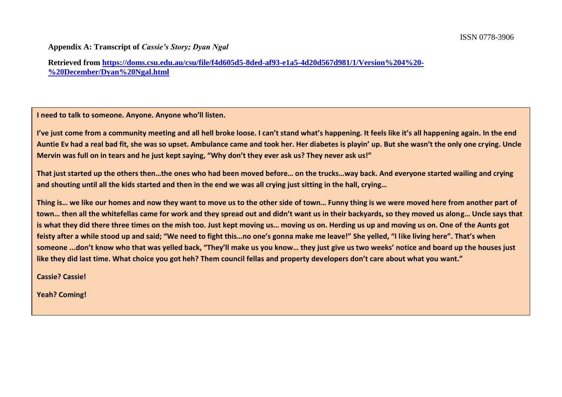#### **Appendix A: Transcript of** *Cassie's Story; Dyan Ngal*

**Retrieved from [https://doms.csu.edu.au/csu/file/f4d605d5-8ded-af93-e1a5-4d20d567d981/1/Version%204%20-](https://doms.csu.edu.au/csu/file/f4d605d5-8ded-af93-e1a5-4d20d567d981/1/Version%204%20-%20December/Dyan%20Ngal.html) [%20December/Dyan%20Ngal.html](https://doms.csu.edu.au/csu/file/f4d605d5-8ded-af93-e1a5-4d20d567d981/1/Version%204%20-%20December/Dyan%20Ngal.html)**

**I need to talk to someone. Anyone. Anyone who'll listen.** 

**I've just come from a community meeting and all hell broke loose. I can't stand what's happening. It feels like it's all happening again. In the end Auntie Ev had a real bad fit, she was so upset. Ambulance came and took her. Her diabetes is playin' up. But she wasn't the only one crying. Uncle Mervin was full on in tears and he just kept saying, "Why don't they ever ask us? They never ask us!"** 

**That just started up the others then…the ones who had been moved before… on the trucks…way back. And everyone started wailing and crying and shouting until all the kids started and then in the end we was all crying just sitting in the hall, crying…** 

**Thing is… we like our homes and now they want to move us to the other side of town… Funny thing is we were moved here from another part of town… then all the whitefellas came for work and they spread out and didn't want us in their backyards, so they moved us along… Uncle says that is what they did there three times on the mish too. Just kept moving us… moving us on. Herding us up and moving us on. One of the Aunts got feisty after a while stood up and said; "We need to fight this…no one's gonna make me leave!" She yelled, "I like living here". That's when someone ...don't know who that was yelled back, "They'll make us you know… they just give us two weeks' notice and board up the houses just like they did last time. What choice you got heh? Them council fellas and property developers don't care about what you want."** 

**Cassie? Cassie!**

**Yeah? Coming!**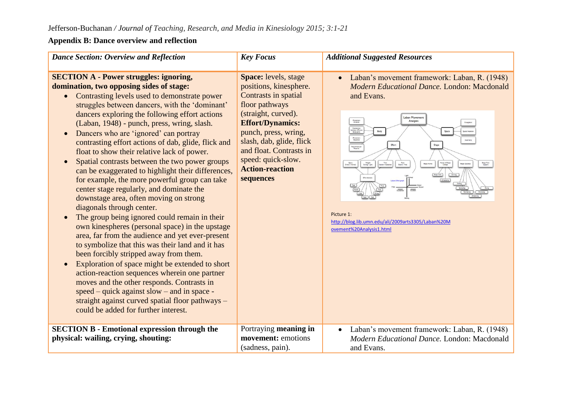## **Appendix B: Dance overview and reflection**

| <b>Dance Section: Overview and Reflection</b>                                                                                                                                                                                                                                                                                                                                                                                                                                                                                                                                                                                                                                                                                                                                                                                                                                                                                                                                                                                                                                                                                                                                                                                                                                                                       | <b>Key Focus</b>                                                                                                                                                                                                                                                                       | <b>Additional Suggested Resources</b>                                                                                                                                                                                                                                                                                                                                                                                             |
|---------------------------------------------------------------------------------------------------------------------------------------------------------------------------------------------------------------------------------------------------------------------------------------------------------------------------------------------------------------------------------------------------------------------------------------------------------------------------------------------------------------------------------------------------------------------------------------------------------------------------------------------------------------------------------------------------------------------------------------------------------------------------------------------------------------------------------------------------------------------------------------------------------------------------------------------------------------------------------------------------------------------------------------------------------------------------------------------------------------------------------------------------------------------------------------------------------------------------------------------------------------------------------------------------------------------|----------------------------------------------------------------------------------------------------------------------------------------------------------------------------------------------------------------------------------------------------------------------------------------|-----------------------------------------------------------------------------------------------------------------------------------------------------------------------------------------------------------------------------------------------------------------------------------------------------------------------------------------------------------------------------------------------------------------------------------|
| <b>SECTION A - Power struggles: ignoring,</b><br>domination, two opposing sides of stage:<br>Contrasting levels used to demonstrate power<br>struggles between dancers, with the 'dominant'<br>dancers exploring the following effort actions<br>(Laban, 1948) - punch, press, wring, slash.<br>Dancers who are 'ignored' can portray<br>contrasting effort actions of dab, glide, flick and<br>float to show their relative lack of power.<br>Spatial contrasts between the two power groups<br>$\bullet$<br>can be exaggerated to highlight their differences,<br>for example, the more powerful group can take<br>center stage regularly, and dominate the<br>downstage area, often moving on strong<br>diagonals through center.<br>The group being ignored could remain in their<br>$\bullet$<br>own kinespheres (personal space) in the upstage<br>area, far from the audience and yet ever-present<br>to symbolize that this was their land and it has<br>been forcibly stripped away from them.<br>Exploration of space might be extended to short<br>$\bullet$<br>action-reaction sequences wherein one partner<br>moves and the other responds. Contrasts in<br>$speed - quick against slow - and in space -$<br>straight against curved spatial floor pathways -<br>could be added for further interest. | Space: levels, stage<br>positions, kinesphere.<br>Contrasts in spatial<br>floor pathways<br>(straight, curved).<br><b>Effort/Dynamics:</b><br>punch, press, wring,<br>slash, dab, glide, flick<br>and float. Contrasts in<br>speed: quick-slow.<br><b>Action-reaction</b><br>sequences | Laban's movement framework: Laban, R. (1948)<br>Modern Educational Dance, London: Macdonald<br>and Evans.<br>aban Movemer<br>Movement<br>Initiation<br>Analysis<br>Connection<br>between different<br>body parts<br>Body<br>Movement<br>Sequence<br>isuromuscula<br>Patterns<br>Weight<br>Strong / Light<br>Shape Flow<br>Support<br>Picture 1:<br>http://blog.lib.umn.edu/ali/2009arts3305/Laban%20M<br>ovement%20Analysis1.html |
| <b>SECTION B - Emotional expression through the</b><br>physical: wailing, crying, shouting:                                                                                                                                                                                                                                                                                                                                                                                                                                                                                                                                                                                                                                                                                                                                                                                                                                                                                                                                                                                                                                                                                                                                                                                                                         | Portraying meaning in<br>movement: emotions<br>(sadness, pain).                                                                                                                                                                                                                        | Laban's movement framework: Laban, R. (1948)<br>$\bullet$<br>Modern Educational Dance, London: Macdonald<br>and Evans.                                                                                                                                                                                                                                                                                                            |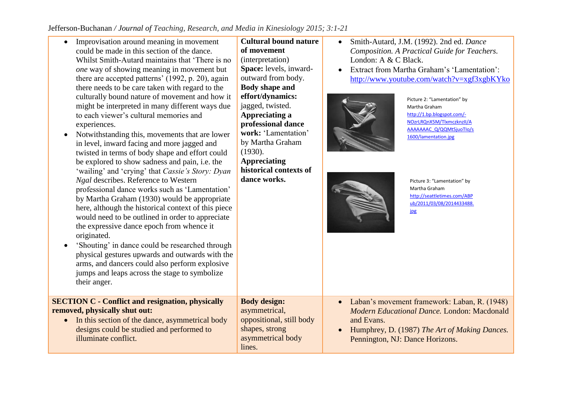| Improvisation around meaning in movement<br>could be made in this section of the dance.<br>Whilst Smith-Autard maintains that 'There is no<br>one way of showing meaning in movement but<br>there are accepted patterns' (1992, p. 20), again<br>there needs to be care taken with regard to the<br>culturally bound nature of movement and how it<br>might be interpreted in many different ways due<br>to each viewer's cultural memories and<br>experiences.<br>Notwithstanding this, movements that are lower<br>$\bullet$<br>in level, inward facing and more jagged and<br>twisted in terms of body shape and effort could<br>be explored to show sadness and pain, i.e. the<br>'wailing' and 'crying' that Cassie's Story: Dyan<br>Ngal describes. Reference to Western<br>professional dance works such as 'Lamentation'<br>by Martha Graham (1930) would be appropriate<br>here, although the historical context of this piece<br>would need to be outlined in order to appreciate<br>the expressive dance epoch from whence it<br>originated.<br>'Shouting' in dance could be researched through<br>$\bullet$<br>physical gestures upwards and outwards with the<br>arms, and dancers could also perform explosive<br>jumps and leaps across the stage to symbolize<br>their anger. | <b>Cultural bound nature</b><br>of movement<br>(interpretation)<br>Space: levels, inward-<br>outward from body.<br><b>Body shape and</b><br>effort/dynamics:<br>jagged, twisted.<br>Appreciating a<br>professional dance<br>work: 'Lamentation'<br>by Martha Graham<br>(1930).<br><b>Appreciating</b><br>historical contexts of<br>dance works. | Smith-Autard, J.M. (1992). 2nd ed. Dance<br>Composition. A Practical Guide for Teachers.<br>London: A & C Black.<br>Extract from Martha Graham's 'Lamentation':<br>http://www.youtube.com/watch?v=xgf3xgbKYko<br>Picture 2: "Lamentation" by<br>Martha Graham<br>http://1.bp.blogspot.com/-<br>NOzrLRQnX5M/TlxmczknzII/A<br>AAAAAAAC Q/QQMtSjuoTlo/s<br>1600/lamentation.jpg<br>Picture 3: "Lamentation" by<br>Martha Graham<br>http://seattletimes.com/ABP<br>ub/2011/03/08/2014433488.<br>ipg |
|-----------------------------------------------------------------------------------------------------------------------------------------------------------------------------------------------------------------------------------------------------------------------------------------------------------------------------------------------------------------------------------------------------------------------------------------------------------------------------------------------------------------------------------------------------------------------------------------------------------------------------------------------------------------------------------------------------------------------------------------------------------------------------------------------------------------------------------------------------------------------------------------------------------------------------------------------------------------------------------------------------------------------------------------------------------------------------------------------------------------------------------------------------------------------------------------------------------------------------------------------------------------------------------------------|-------------------------------------------------------------------------------------------------------------------------------------------------------------------------------------------------------------------------------------------------------------------------------------------------------------------------------------------------|-------------------------------------------------------------------------------------------------------------------------------------------------------------------------------------------------------------------------------------------------------------------------------------------------------------------------------------------------------------------------------------------------------------------------------------------------------------------------------------------------|
| <b>SECTION C - Conflict and resignation, physically</b><br>removed, physically shut out:<br>In this section of the dance, asymmetrical body<br>designs could be studied and performed to<br>illuminate conflict.                                                                                                                                                                                                                                                                                                                                                                                                                                                                                                                                                                                                                                                                                                                                                                                                                                                                                                                                                                                                                                                                              | <b>Body design:</b><br>asymmetrical,<br>oppositional, still body<br>shapes, strong<br>asymmetrical body<br>lines.                                                                                                                                                                                                                               | Laban's movement framework: Laban, R. (1948)<br>Modern Educational Dance. London: Macdonald<br>and Evans.<br>Humphrey, D. (1987) The Art of Making Dances.<br>Pennington, NJ: Dance Horizons.                                                                                                                                                                                                                                                                                                   |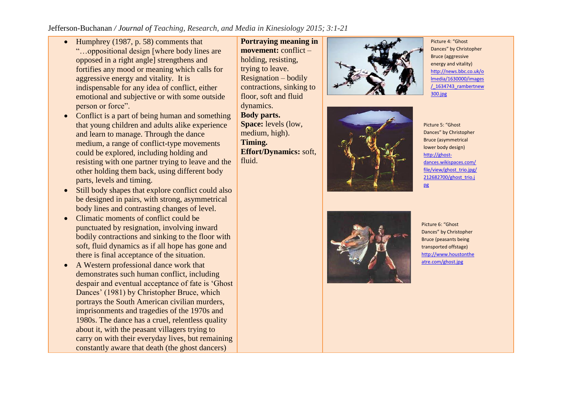- $\bullet$  Humphrey (1987, p. 58) comments that "…oppositional design [where body lines are opposed in a right angle] strengthens and fortifies any mood or meaning which calls for aggressive energy and vitality. It is indispensable for any idea of conflict, either emotional and subjective or with some outside person or force".
- Conflict is a part of being human and something that young children and adults alike experience and learn to manage. Through the dance medium, a range of conflict-type movements could be explored, including holding and resisting with one partner trying to leave and the other holding them back, using different body parts, levels and timing.
- Still body shapes that explore conflict could also be designed in pairs, with strong, asymmetrical body lines and contrasting changes of level.
- Climatic moments of conflict could be punctuated by resignation, involving inward bodily contractions and sinking to the floor with soft, fluid dynamics as if all hope has gone and there is final acceptance of the situation.
- A Western professional dance work that demonstrates such human conflict, including despair and eventual acceptance of fate is 'Ghost Dances' (1981) by Christopher Bruce, which portrays the South American civilian murders, imprisonments and tragedies of the 1970s and 1980s. The dance has a cruel, relentless quality about it, with the peasant villagers trying to carry on with their everyday lives, but remaining constantly aware that death (the ghost dancers)

**Portraying meaning in movement:** conflict – holding, resisting, trying to leave. Resignation – bodily contractions, sinking to floor, soft and fluid dynamics. **Body parts. Space:** levels (low, medium, high). **Timing. Effort/Dynamics:** soft, fluid.







Picture 5: "Ghost Dances" by Christopher Bruce (asymmetrical lower body design) [http://ghost](http://ghost-dances.wikispaces.com/file/view/ghost_trio.jpg/212682700/ghost_trio.jpg)[dances.wikispaces.com/](http://ghost-dances.wikispaces.com/file/view/ghost_trio.jpg/212682700/ghost_trio.jpg) [file/view/ghost\\_trio.jpg/](http://ghost-dances.wikispaces.com/file/view/ghost_trio.jpg/212682700/ghost_trio.jpg) [212682700/ghost\\_trio.j](http://ghost-dances.wikispaces.com/file/view/ghost_trio.jpg/212682700/ghost_trio.jpg) [pg](http://ghost-dances.wikispaces.com/file/view/ghost_trio.jpg/212682700/ghost_trio.jpg)



Picture 6: "Ghost Dances" by Christopher Bruce (peasants being transported offstage) [http://www.houstonthe](http://www.houstontheatre.com/ghost.jpg) [atre.com/ghost.jpg](http://www.houstontheatre.com/ghost.jpg)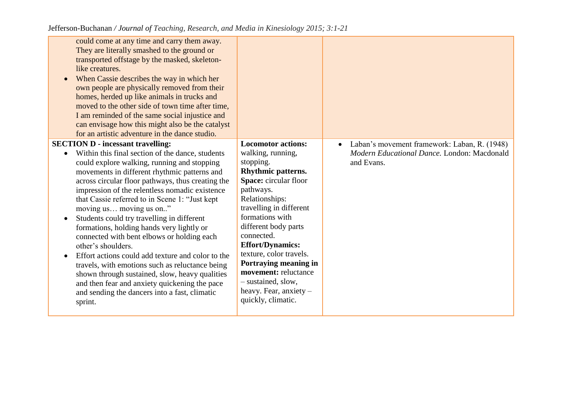| could come at any time and carry them away.<br>They are literally smashed to the ground or<br>transported offstage by the masked, skeleton-<br>like creatures.<br>When Cassie describes the way in which her<br>own people are physically removed from their<br>homes, herded up like animals in trucks and<br>moved to the other side of town time after time,<br>I am reminded of the same social injustice and<br>can envisage how this might also be the catalyst<br>for an artistic adventure in the dance studio.                                                                                                                                                                                                                                                                                               |                                                                                                                                                                                                                                                                                                                                                                                                                     |                                                                                                                        |
|-----------------------------------------------------------------------------------------------------------------------------------------------------------------------------------------------------------------------------------------------------------------------------------------------------------------------------------------------------------------------------------------------------------------------------------------------------------------------------------------------------------------------------------------------------------------------------------------------------------------------------------------------------------------------------------------------------------------------------------------------------------------------------------------------------------------------|---------------------------------------------------------------------------------------------------------------------------------------------------------------------------------------------------------------------------------------------------------------------------------------------------------------------------------------------------------------------------------------------------------------------|------------------------------------------------------------------------------------------------------------------------|
| <b>SECTION D - incessant travelling:</b><br>Within this final section of the dance, students<br>could explore walking, running and stopping<br>movements in different rhythmic patterns and<br>across circular floor pathways, thus creating the<br>impression of the relentless nomadic existence<br>that Cassie referred to in Scene 1: "Just kept<br>moving us moving us on"<br>Students could try travelling in different<br>formations, holding hands very lightly or<br>connected with bent elbows or holding each<br>other's shoulders.<br>Effort actions could add texture and color to the<br>travels, with emotions such as reluctance being<br>shown through sustained, slow, heavy qualities<br>and then fear and anxiety quickening the pace<br>and sending the dancers into a fast, climatic<br>sprint. | <b>Locomotor actions:</b><br>walking, running,<br>stopping.<br><b>Rhythmic patterns.</b><br>Space: circular floor<br>pathways.<br>Relationships:<br>travelling in different<br>formations with<br>different body parts<br>connected.<br><b>Effort/Dynamics:</b><br>texture, color travels.<br>Portraying meaning in<br>movement: reluctance<br>- sustained, slow,<br>heavy. Fear, anxiety $-$<br>quickly, climatic. | Laban's movement framework: Laban, R. (1948)<br>$\bullet$<br>Modern Educational Dance. London: Macdonald<br>and Evans. |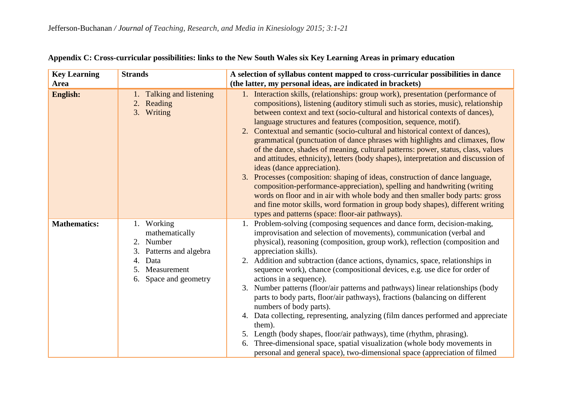| <b>Key Learning</b> | <b>Strands</b>                                                                                                                            | A selection of syllabus content mapped to cross-curricular possibilities in dance                                                                                                                                                                                                                                                                                                                                                                                                                                                                                                                                                                                                                                                                                                                                                                                                                                                                                                                                                                                                   |  |
|---------------------|-------------------------------------------------------------------------------------------------------------------------------------------|-------------------------------------------------------------------------------------------------------------------------------------------------------------------------------------------------------------------------------------------------------------------------------------------------------------------------------------------------------------------------------------------------------------------------------------------------------------------------------------------------------------------------------------------------------------------------------------------------------------------------------------------------------------------------------------------------------------------------------------------------------------------------------------------------------------------------------------------------------------------------------------------------------------------------------------------------------------------------------------------------------------------------------------------------------------------------------------|--|
| Area                |                                                                                                                                           | (the latter, my personal ideas, are indicated in brackets)                                                                                                                                                                                                                                                                                                                                                                                                                                                                                                                                                                                                                                                                                                                                                                                                                                                                                                                                                                                                                          |  |
| <b>English:</b>     | 1. Talking and listening<br>2. Reading<br>3. Writing                                                                                      | 1. Interaction skills, (relationships: group work), presentation (performance of<br>compositions), listening (auditory stimuli such as stories, music), relationship<br>between context and text (socio-cultural and historical contexts of dances),<br>language structures and features (composition, sequence, motif).<br>2. Contextual and semantic (socio-cultural and historical context of dances),<br>grammatical (punctuation of dance phrases with highlights and climaxes, flow<br>of the dance, shades of meaning, cultural patterns: power, status, class, values<br>and attitudes, ethnicity), letters (body shapes), interpretation and discussion of<br>ideas (dance appreciation).<br>3. Processes (composition: shaping of ideas, construction of dance language,<br>composition-performance-appreciation), spelling and handwriting (writing<br>words on floor and in air with whole body and then smaller body parts: gross<br>and fine motor skills, word formation in group body shapes), different writing<br>types and patterns (space: floor-air pathways). |  |
| <b>Mathematics:</b> | 1. Working<br>mathematically<br>2.<br>Number<br>Patterns and algebra<br>3.<br>4.<br>Data<br>Measurement<br>5.<br>Space and geometry<br>6. | 1. Problem-solving (composing sequences and dance form, decision-making,<br>improvisation and selection of movements), communication (verbal and<br>physical), reasoning (composition, group work), reflection (composition and<br>appreciation skills).<br>2. Addition and subtraction (dance actions, dynamics, space, relationships in<br>sequence work), chance (compositional devices, e.g. use dice for order of<br>actions in a sequence).<br>3. Number patterns (floor/air patterns and pathways) linear relationships (body<br>parts to body parts, floor/air pathways), fractions (balancing on different<br>numbers of body parts).<br>4. Data collecting, representing, analyzing (film dances performed and appreciate<br>them).<br>5. Length (body shapes, floor/air pathways), time (rhythm, phrasing).<br>6. Three-dimensional space, spatial visualization (whole body movements in<br>personal and general space), two-dimensional space (appreciation of filmed                                                                                                  |  |

## **Appendix C: Cross-curricular possibilities: links to the New South Wales six Key Learning Areas in primary education**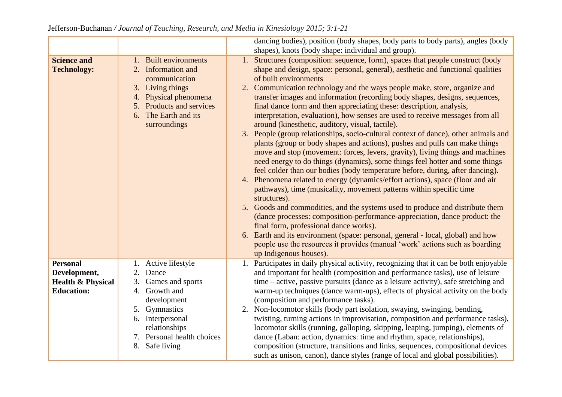|                                                                                      |                                                                                                                                                                                                    | dancing bodies), position (body shapes, body parts to body parts), angles (body                                                                                                                                                                                                                                                                                                                                                                                                                                                                                                                                                                                                                                                                                                                                                                                                                                                                                                                                                                                                                                                                                                                                                                                                                                                                                                                                                                                                                                                                                             |
|--------------------------------------------------------------------------------------|----------------------------------------------------------------------------------------------------------------------------------------------------------------------------------------------------|-----------------------------------------------------------------------------------------------------------------------------------------------------------------------------------------------------------------------------------------------------------------------------------------------------------------------------------------------------------------------------------------------------------------------------------------------------------------------------------------------------------------------------------------------------------------------------------------------------------------------------------------------------------------------------------------------------------------------------------------------------------------------------------------------------------------------------------------------------------------------------------------------------------------------------------------------------------------------------------------------------------------------------------------------------------------------------------------------------------------------------------------------------------------------------------------------------------------------------------------------------------------------------------------------------------------------------------------------------------------------------------------------------------------------------------------------------------------------------------------------------------------------------------------------------------------------------|
|                                                                                      |                                                                                                                                                                                                    | shapes), knots (body shape: individual and group).                                                                                                                                                                                                                                                                                                                                                                                                                                                                                                                                                                                                                                                                                                                                                                                                                                                                                                                                                                                                                                                                                                                                                                                                                                                                                                                                                                                                                                                                                                                          |
| <b>Science and</b><br><b>Technology:</b>                                             | 1. Built environments<br>2. Information and<br>communication<br>3. Living things<br>4. Physical phenomena<br>5. Products and services<br>6. The Earth and its<br>surroundings                      | 1. Structures (composition: sequence, form), spaces that people construct (body<br>shape and design, space: personal, general), aesthetic and functional qualities<br>of built environments<br>2. Communication technology and the ways people make, store, organize and<br>transfer images and information (recording body shapes, designs, sequences,<br>final dance form and then appreciating these: description, analysis,<br>interpretation, evaluation), how senses are used to receive messages from all<br>around (kinesthetic, auditory, visual, tactile).<br>3. People (group relationships, socio-cultural context of dance), other animals and<br>plants (group or body shapes and actions), pushes and pulls can make things<br>move and stop (movement: forces, levers, gravity), living things and machines<br>need energy to do things (dynamics), some things feel hotter and some things<br>feel colder than our bodies (body temperature before, during, after dancing).<br>4. Phenomena related to energy (dynamics/effort actions), space (floor and air<br>pathways), time (musicality, movement patterns within specific time<br>structures).<br>5. Goods and commodities, and the systems used to produce and distribute them<br>(dance processes: composition-performance-appreciation, dance product: the<br>final form, professional dance works).<br>6. Earth and its environment (space: personal, general - local, global) and how<br>people use the resources it provides (manual 'work' actions such as boarding<br>up Indigenous houses). |
| <b>Personal</b><br>Development,<br><b>Health &amp; Physical</b><br><b>Education:</b> | 1. Active lifestyle<br>2. Dance<br>3.<br>Games and sports<br>4. Growth and<br>development<br>5. Gymnastics<br>6. Interpersonal<br>relationships<br>7. Personal health choices<br>Safe living<br>8. | 1. Participates in daily physical activity, recognizing that it can be both enjoyable<br>and important for health (composition and performance tasks), use of leisure<br>time – active, passive pursuits (dance as a leisure activity), safe stretching and<br>warm-up techniques (dance warm-ups), effects of physical activity on the body<br>(composition and performance tasks).<br>2. Non-locomotor skills (body part isolation, swaying, swinging, bending,<br>twisting, turning actions in improvisation, composition and performance tasks),<br>locomotor skills (running, galloping, skipping, leaping, jumping), elements of<br>dance (Laban: action, dynamics: time and rhythm, space, relationships),<br>composition (structure, transitions and links, sequences, compositional devices<br>such as unison, canon), dance styles (range of local and global possibilities).                                                                                                                                                                                                                                                                                                                                                                                                                                                                                                                                                                                                                                                                                     |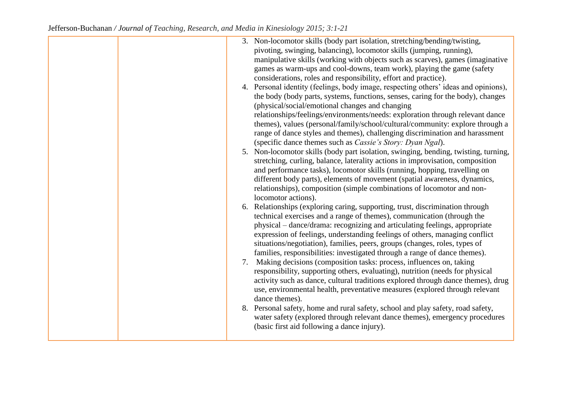| 3. Non-locomotor skills (body part isolation, stretching/bending/twisting,<br>pivoting, swinging, balancing), locomotor skills (jumping, running),<br>manipulative skills (working with objects such as scarves), games (imaginative<br>games as warm-ups and cool-downs, team work), playing the game (safety<br>considerations, roles and responsibility, effort and practice).<br>4. Personal identity (feelings, body image, respecting others' ideas and opinions),<br>the body (body parts, systems, functions, senses, caring for the body), changes<br>(physical/social/emotional changes and changing<br>relationships/feelings/environments/needs: exploration through relevant dance<br>themes), values (personal/family/school/cultural/community: explore through a<br>range of dance styles and themes), challenging discrimination and harassment<br>(specific dance themes such as <i>Cassie's Story: Dyan Ngal</i> ).<br>5. Non-locomotor skills (body part isolation, swinging, bending, twisting, turning,<br>stretching, curling, balance, laterality actions in improvisation, composition<br>and performance tasks), locomotor skills (running, hopping, travelling on<br>different body parts), elements of movement (spatial awareness, dynamics, |
|---------------------------------------------------------------------------------------------------------------------------------------------------------------------------------------------------------------------------------------------------------------------------------------------------------------------------------------------------------------------------------------------------------------------------------------------------------------------------------------------------------------------------------------------------------------------------------------------------------------------------------------------------------------------------------------------------------------------------------------------------------------------------------------------------------------------------------------------------------------------------------------------------------------------------------------------------------------------------------------------------------------------------------------------------------------------------------------------------------------------------------------------------------------------------------------------------------------------------------------------------------------------------|
| relationships), composition (simple combinations of locomotor and non-<br>locomotor actions).<br>6. Relationships (exploring caring, supporting, trust, discrimination through<br>technical exercises and a range of themes), communication (through the<br>physical – dance/drama: recognizing and articulating feelings, appropriate<br>expression of feelings, understanding feelings of others, managing conflict<br>situations/negotiation), families, peers, groups (changes, roles, types of<br>families, responsibilities: investigated through a range of dance themes).<br>7. Making decisions (composition tasks: process, influences on, taking<br>responsibility, supporting others, evaluating), nutrition (needs for physical<br>activity such as dance, cultural traditions explored through dance themes), drug<br>use, environmental health, preventative measures (explored through relevant<br>dance themes).<br>8. Personal safety, home and rural safety, school and play safety, road safety,<br>water safety (explored through relevant dance themes), emergency procedures<br>(basic first aid following a dance injury).                                                                                                                        |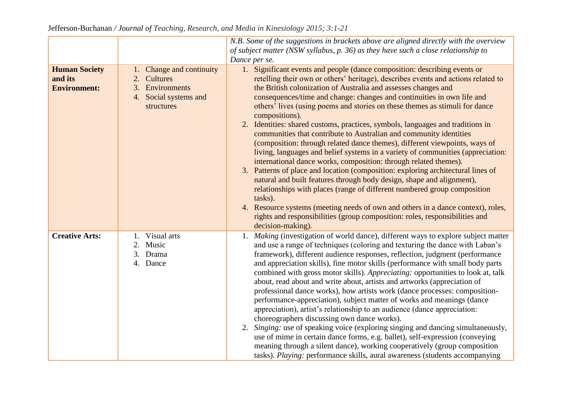|                                                        |                                                                                                      | N.B. Some of the suggestions in brackets above are aligned directly with the overview<br>of subject matter (NSW syllabus, p. 36) as they have such a close relationship to<br>Dance per se.                                                                                                                                                                                                                                                                                                                                                                                                                                                                                                                                                                                                                                                                                                                                                                                                                                                                                                                                                                                                                                                          |
|--------------------------------------------------------|------------------------------------------------------------------------------------------------------|------------------------------------------------------------------------------------------------------------------------------------------------------------------------------------------------------------------------------------------------------------------------------------------------------------------------------------------------------------------------------------------------------------------------------------------------------------------------------------------------------------------------------------------------------------------------------------------------------------------------------------------------------------------------------------------------------------------------------------------------------------------------------------------------------------------------------------------------------------------------------------------------------------------------------------------------------------------------------------------------------------------------------------------------------------------------------------------------------------------------------------------------------------------------------------------------------------------------------------------------------|
| <b>Human Society</b><br>and its<br><b>Environment:</b> | Change and continuity<br>1.<br>2. Cultures<br>3. Environments<br>4. Social systems and<br>structures | 1. Significant events and people (dance composition: describing events or<br>retelling their own or others' heritage), describes events and actions related to<br>the British colonization of Australia and assesses changes and<br>consequences/time and change: changes and continuities in own life and<br>others' lives (using poems and stories on these themes as stimuli for dance<br>compositions).<br>2. Identities: shared customs, practices, symbols, languages and traditions in<br>communities that contribute to Australian and community identities<br>(composition: through related dance themes), different viewpoints, ways of<br>living, languages and belief systems in a variety of communities (appreciation:<br>international dance works, composition: through related themes).<br>3. Patterns of place and location (composition: exploring architectural lines of<br>natural and built features through body design, shape and alignment),<br>relationships with places (range of different numbered group composition<br>tasks).<br>4. Resource systems (meeting needs of own and others in a dance context), roles,<br>rights and responsibilities (group composition: roles, responsibilities and<br>decision-making). |
| <b>Creative Arts:</b>                                  | Visual arts<br>2. Music<br>3. Drama<br>4. Dance                                                      | 1. Making (investigation of world dance), different ways to explore subject matter<br>and use a range of techniques (coloring and texturing the dance with Laban's<br>framework), different audience responses, reflection, judgment (performance<br>and appreciation skills), fine motor skills (performance with small body parts<br>combined with gross motor skills). Appreciating: opportunities to look at, talk<br>about, read about and write about, artists and artworks (appreciation of<br>professional dance works), how artists work (dance processes: composition-<br>performance-appreciation), subject matter of works and meanings (dance<br>appreciation), artist's relationship to an audience (dance appreciation:<br>choreographers discussing own dance works).<br>Singing: use of speaking voice (exploring singing and dancing simultaneously,<br>2.<br>use of mime in certain dance forms, e.g. ballet), self-expression (conveying<br>meaning through a silent dance), working cooperatively (group composition<br>tasks). Playing: performance skills, aural awareness (students accompanying                                                                                                                             |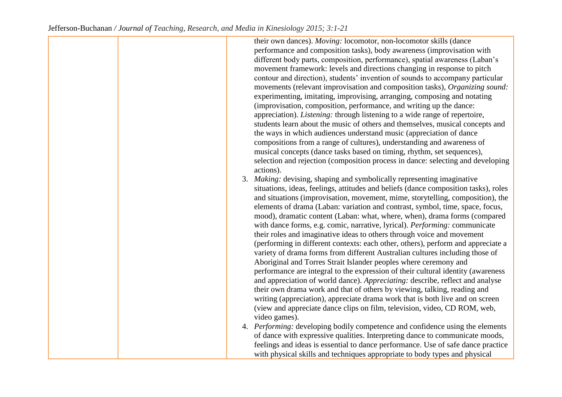their own dances). *Moving:* locomotor, non-locomotor skills (dance performance and composition tasks), body awareness (improvisation with different body parts, composition, performance), spatial awareness (Laban's movement framework: levels and directions changing in response to pitch contour and direction), students' invention of sounds to accompany particular movements (relevant improvisation and composition tasks), *Organizing sound:*  experimenting, imitating, improvising, arranging, composing and notating (improvisation, composition, performance, and writing up the dance: appreciation). *Listening:* through listening to a wide range of repertoire, students learn about the music of others and themselves, musical concepts and the ways in which audiences understand music (appreciation of dance compositions from a range of cultures), understanding and awareness of musical concepts (dance tasks based on timing, rhythm, set sequences), selection and rejection (composition process in dance: selecting and developing actions). 3. *Making:* devising, shaping and symbolically representing imaginative situations, ideas, feelings, attitudes and beliefs (dance composition tasks), roles and situations (improvisation, movement, mime, storytelling, composition), the elements of drama (Laban: variation and contrast, symbol, time, space, focus, mood), dramatic content (Laban: what, where, when), drama forms (compared with dance forms, e.g. comic, narrative, lyrical). *Performing:* communicate their roles and imaginative ideas to others through voice and movement (performing in different contexts: each other, others), perform and appreciate a variety of drama forms from different Australian cultures including those of Aboriginal and Torres Strait Islander peoples where ceremony and performance are integral to the expression of their cultural identity (awareness and appreciation of world dance). *Appreciating:* describe, reflect and analyse their own drama work and that of others by viewing, talking, reading and writing (appreciation), appreciate drama work that is both live and on screen (view and appreciate dance clips on film, television, video, CD ROM, web, video games). 4. *Performing:* developing bodily competence and confidence using the elements of dance with expressive qualities. Interpreting dance to communicate moods, feelings and ideas is essential to dance performance. Use of safe dance practice with physical skills and techniques appropriate to body types and physical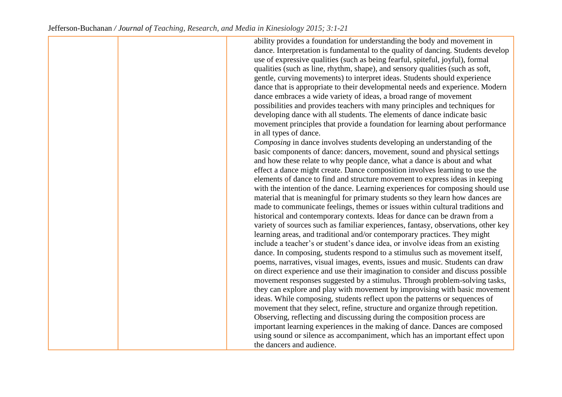ability provides a foundation for understanding the body and movement in dance. Interpretation is fundamental to the quality of dancing. Students develop use of expressive qualities (such as being fearful, spiteful, joyful), formal qualities (such as line, rhythm, shape), and sensory qualities (such as soft, gentle, curving movements) to interpret ideas. Students should experience dance that is appropriate to their developmental needs and experience. Modern dance embraces a wide variety of ideas, a broad range of movement possibilities and provides teachers with many principles and techniques for developing dance with all students. The elements of dance indicate basic movement principles that provide a foundation for learning about performance in all types of dance. *Composing* in dance involves students developing an understanding of the basic components of dance: dancers, movement, sound and physical settings and how these relate to why people dance, what a dance is about and what effect a dance might create. Dance composition involves learning to use the elements of dance to find and structure movement to express ideas in keeping with the intention of the dance. Learning experiences for composing should use material that is meaningful for primary students so they learn how dances are made to communicate feelings, themes or issues within cultural traditions and historical and contemporary contexts. Ideas for dance can be drawn from a variety of sources such as familiar experiences, fantasy, observations, other key learning areas, and traditional and/or contemporary practices. They might include a teacher's or student's dance idea, or involve ideas from an existing dance. In composing, students respond to a stimulus such as movement itself, poems, narratives, visual images, events, issues and music. Students can draw on direct experience and use their imagination to consider and discuss possible movement responses suggested by a stimulus. Through problem-solving tasks, they can explore and play with movement by improvising with basic movement ideas. While composing, students reflect upon the patterns or sequences of movement that they select, refine, structure and organize through repetition. Observing, reflecting and discussing during the composition process are important learning experiences in the making of dance. Dances are composed using sound or silence as accompaniment, which has an important effect upon the dancers and audience.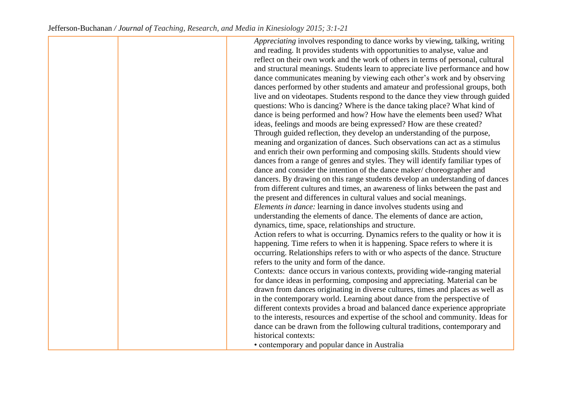*Appreciating* involves responding to dance works by viewing, talking, writing and reading. It provides students with opportunities to analyse, value and reflect on their own work and the work of others in terms of personal, cultural and structural meanings. Students learn to appreciate live performance and how dance communicates meaning by viewing each other's work and by observing dances performed by other students and amateur and professional groups, both live and on videotapes. Students respond to the dance they view through guided questions: Who is dancing? Where is the dance taking place? What kind of dance is being performed and how? How have the elements been used? What ideas, feelings and moods are being expressed? How are these created? Through guided reflection, they develop an understanding of the purpose, meaning and organization of dances. Such observations can act as a stimulus and enrich their own performing and composing skills. Students should view dances from a range of genres and styles. They will identify familiar types of dance and consider the intention of the dance maker/ choreographer and dancers. By drawing on this range students develop an understanding of dances from different cultures and times, an awareness of links between the past and the present and differences in cultural values and social meanings. *Elements in dance:* learning in dance involves students using and understanding the elements of dance. The elements of dance are action, dynamics, time, space, relationships and structure. Action refers to what is occurring. Dynamics refers to the quality or how it is happening. Time refers to when it is happening. Space refers to where it is occurring. Relationships refers to with or who aspects of the dance. Structure refers to the unity and form of the dance. Contexts: dance occurs in various contexts, providing wide-ranging material for dance ideas in performing, composing and appreciating. Material can be drawn from dances originating in diverse cultures, times and places as well as in the contemporary world. Learning about dance from the perspective of different contexts provides a broad and balanced dance experience appropriate to the interests, resources and expertise of the school and community. Ideas for dance can be drawn from the following cultural traditions, contemporary and historical contexts:

• contemporary and popular dance in Australia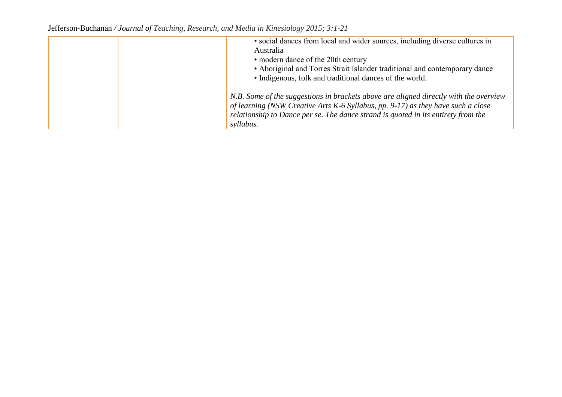Jefferson-Buchanan */ Journal of Teaching, Research, and Media in Kinesiology 2015; 3:1-21*

| • social dances from local and wider sources, including diverse cultures in<br>Australia<br>• modern dance of the 20th century<br>• Aboriginal and Torres Strait Islander traditional and contemporary dance<br>• Indigenous, folk and traditional dances of the world.     |
|-----------------------------------------------------------------------------------------------------------------------------------------------------------------------------------------------------------------------------------------------------------------------------|
| N.B. Some of the suggestions in brackets above are aligned directly with the overview<br>of learning (NSW Creative Arts K-6 Syllabus, pp. 9-17) as they have such a close<br>relationship to Dance per se. The dance strand is quoted in its entirety from the<br>syllabus. |